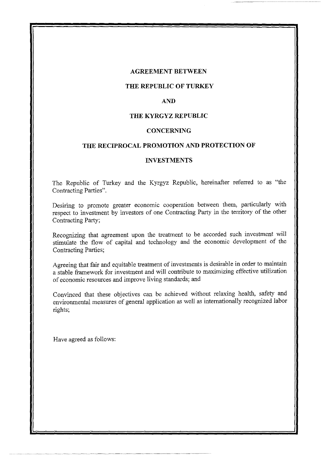#### **AGREEMENT BETWEEN**

#### **THE REPUBLIC OF TURKEY**

**AND** 

#### **THE KYRGYZ REPUBLIC**

#### **CONCERNING**

### **THE RECIPROCAL PROMOTION AND PROTECTION OF**

#### **INVESTMENTS**

The Republic of Turkey and the Kyrgyz Republic, hereinafter referred to as "the Contracting Parties".

Desiring to promote greater economic cooperation between them, particularly with respect to investment by investors of one Contracting Party in the territory of the other Contracting Party;

Recognizing that agreement upon the treatment to be accorded such investment will stimulate the flow of capital and techuology and the economic development of the Contracting Parties;

Agreeing that fair and equitable treatment of investments is desirable in order to maintain a stable framework for investment and will contribute to maximizing effective utilization of economic resources and improve living standards; and

Convinced that these objectives can be achieved without relaxing health, safety and environmental measures of general application as well as internationally recognized labor rights;

Have agreed as follows: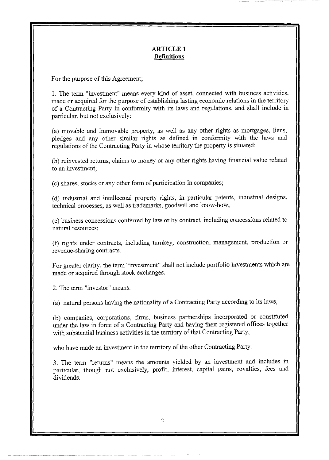#### **ARTICLE 1 Definitions**

For the purpose of this Agreement;

1. The term "investment" means every kind of asset, connected with business activities, made or acquired for the purpose of establishing lasting economic relations in the territory of a Contracting Party in conformity with its laws and regulations, and shall include in particular, but not exclusively:

(a) movable and immovable property, as well as any other rights as mortgages, liens, pledges and any other similar rights as defined in conformity with the laws and regulations of the Contracting Party in whose territory the property is situated;

(b) reinvested returns, claims to money or any other rights having financial value related to an investment;

( c) shares, stocks or any other form of participation in companies;

( d) industrial and intellectual property rights, in particular patents, industrial designs, technical processes, as well as trademarks, goodwill and know-how;

( e) business concessions conferred by law or by contract, including concessions related to natural resources;

(f) rights under contracts, including turnkey, construction, management, production or revenue-sharing contracts.

For greater clarity, the term "investment" shall not include portfolio investments which are made or acquired through stock exchanges.

2. The term "investor" means:

(a) natural persons having the nationality of a Contracting Party according to its laws,

(b) companies, corporations, firms, business partnerships incorporated or constituted under the law in force of a Contracting Party and having their registered offices together with substantial business activities in the territory of that Contracting Party,

who have made an investment in the territory of the other Contracting Party.

3. The term "returns" means the amounts yielded by an investment and includes in particular, though not exclusively, profit, interest, capital gains, royalties, fees and dividends.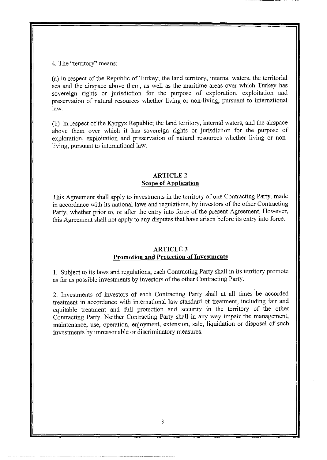4. The "territory" means:

(a) in respect of the Republic of Turkey; the land territory, internal waters, the territorial sea and the airspace above them, as well as the maritime areas over which Turkey has sovereign rights or jurisdiction for the purpose of exploration, exploitation and preservation of natural resources whether living or non-living, pursuant to international law.

(b) in respect of the Kyrgyz Republic; the land territory, internal waters, and the airspace above them over which it has sovereign rights or jurisdiction for the purpose of exploration, exploitation and preservation of natural resources whether living or nonliving, pursuant to international law.

### **ARTICLE2 Scope of Application**

This Agreement shall apply to investments in the territory of one Contracting Party, made in accordance with its national laws and regulations, by investors of the other Contracting Party, whether prior to, or after the entry into force of the present Agreement. However, this Agreement shall not apply to any disputes that have arisen before its entry into force.

## **ARTICLE3 Promotion and Protection of Investments**

1. Subject to its laws and regulations, each Contracting Party shall in its territory promote as far as possible investments by investors of the other Contracting Party.

2. Investments of investors of each Contracting Party shall at all times be accorded treatment in accordance with international law standard of treatment, including fair and equitable treatment and full protection and security in the territory of the other Contracting Party. Neither Contracting Party shall in any way impair the management, maintenance, use, operation, enjoyment, extension, sale, liquidation or disposal of such investments by unreasonable or discriminatory measures.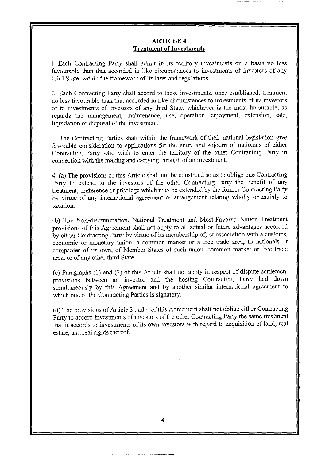## **ARTICLE4 Treatment of Investments**

1. Each Contracting Party shall admit in its territory investments on a basis no less favourable than that accorded in like circumstances to investments of investors of any third State, within the framework of its laws and regulations.

2. Each Contracting Party shall accord to these investments, once established, treatment no less favourable than that accorded in like circumstances to investments of its investors or to investments of investors of any third State, whichever is the most favourable, as regards the management, maintenance, use, operation, enjoyment, extension, sale, liquidation or disposal of the investment.

3. The Contracting Parties shall within the framework of their national legislation give favorable consideration to applications for the entry and sojourn of nationals of either Contracting Party who wish to enter the territory of the other Contracting Party in connection with the making and carrying through of an investment.

4. (a) The provisions of this Article shall not be construed so as to oblige one Contracting Party to extend to the investors of the other Contracting Party the benefit of any treatment, preference or privilege which may be extended by the former Contracting Party by virtue of any international agreement or arrangement relating wholly or mainly to taxation.

(b) The Non-discrimination, National Treatment and Most-Favored Nation Treatment provisions of this Agreement shall not apply to all actual or future advantages accorded by either Contracting Party by virtue of its membership of, or association with a customs, economic or monetary union, a common market or a free trade area; to nationals or companies of its own, of Member States of such union, common market or free trade area, or of any other third State.

( c) Paragraphs (1) and (2) of this Article shall not apply in respect of dispute settlement provisions between an investor and the hosting Contracting Party laid down simultaneously by this Agreement and by another similar international agreement to which one of the Contracting Parties is signatory.

( d) The provisions of Article 3 and 4 of this Agreement shall not oblige either Contracting Party to accord investments of investors of the other Contracting Party the same treatment that it accords to investments of its own investors with regard to acquisition of land, real estate, and real rights thereof.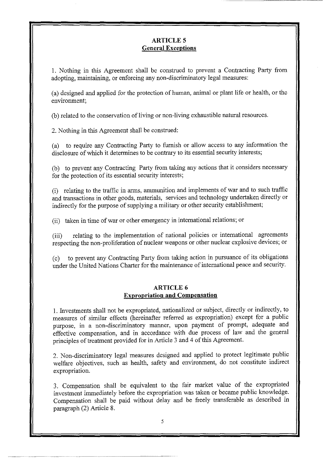### **ARTICLE 5 General Exceptions**

I. Nothing in this Agreement shall be construed to prevent a Contracting Party from adopting, maintaining, or enforcing any non-discriminatory legal measures:

(a) designed and applied for the protection of human, animal or plant life or health, or the environment;

(b) related to the conservation of living or non-living exhaustible natural resources.

2. Nothing in this Agreement shall be construed:

(a) to require any Contracting Party to furnish or allow access to any information the disclosure of which it determines to be contrary to its essential security interests;

(b) to prevent any Contracting Party from taking any actions that it considers necessary for the protection of its essential security interests;

(i) relating to the traffic in arms, anununition and implements of war and to such traffic and transactions in other goods, materials, services and technology undertaken directly or indirectly for the purpose of supplying a military or other security establishment;

(ii) taken in time of war or other emergency in international relations; or

(iii) relating to the implementation of national policies or international agreements respecting the non-proliferation of nuclear weapons or other nuclear explosive devices; or

( c) to prevent any Contracting Party from taking action in pursuance of its obligations under the United Nations Charter for the maintenance of international peace and security.

### **ARTICLE6 Expropriation and Compensation**

1. Investments shall not be expropriated, nationalized or subject, directly or indirectly, to measures of similar effects (hereinafter referred as expropriation) except for a public purpose, in a non-discriminatory manner, upon payment of prompt, adequate and effective compensation, and in accordance with due process of law and the general principles of treatment provided for in Article 3 and 4 of this Agreement.

2. Non-discriminatory legal measures designed and applied to protect legitimate public welfare objectives, such as health, safety and environment, do not constitute indirect expropriation.

3. Compensation shall be equivalent to the fair market value of the expropriated investment immediately before the expropriation was taken or became public knowledge. Compensation shall be paid without delay and be freely transferable as described in paragraph (2) Article 8.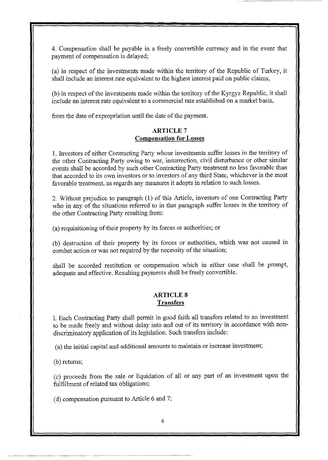4. Compensation shall be payable in a freely convertible currency and in the event that payment of compensation is delayed;

(a) in respect of the investments made within the territory of the Republic of Turkey, it shall include an interest rate equivalent to the highest interest paid on public claims,

(b) in respect of the investments made within the territory of the Kyrgyz Republic, it shall include an interest rate equivalent to a commercial rate established on a market basis,

from the date of expropriation until the date of the payment.

### **ARTICLE? Compensation for Losses**

**1.** Investors of either Contracting Party whose investments suffer losses in the territory of the other Contracting Party owing to war, insurrection, civil disturbance or other similar events shall be accorded by such other Contracting Party treatment no less favorable than that accorded to its own investors or to investors of any third State, whichever is the most favorable treatment, as regards any measures it adopts in relation to such losses.

2. Without prejudice to paragraph (I) of this Article, investors of one Contracting Party who in any of the situations referred to in that paragraph suffer losses in the territory of the other Contracting Party resulting from:

(a) requisitioning of their property by its forces or authorities; or

(b) destruction of their property by its forces or authorities, which was not caused in combat action or was not required by the necessity of the situation;

shall be accorded restitution or compensation which in either case shall be prompt, adequate and effective. Resulting payments shall be freely convertible.

### **ARTICLES Transfers**

I. Each Contracting Party shall permit in good faith all transfers related to an investment to be made freely and without delay into and out of its territory in accordance with nondiscriminatory application of its legislation. Such transfers include:

(a) the initial capital and additional amounts to maintain or increase investment;

(b) returns;

( c) proceeds from the sale or liquidation of all or any part of an investment upon the fulfillment of related tax obligations;

( d) compensation pursuant to Article 6 and 7;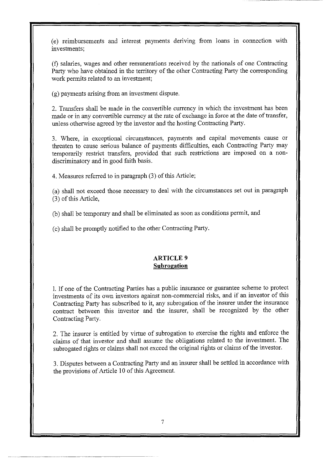(e) reimbursements and interest payments deriving from loans in connection with investments;

(f) salaries, wages and other remunerations received by the nationals of one Contracting Party who have obtained in the territory of the other Contracting Party the corresponding work permits related to an investment;

(g) payments arising from an investment dispute.

2. Transfers shall be made in the convertible currency in which the investment has been made or in any convertible currency at the rate of exchange in force at the date of transfer, unless otherwise agreed by the investor and the hosting Contracting Party.

3. Where, in exceptional circumstances, payments and capital movements cause or threaten to cause serious balance of payments difficulties, each Contracting Party may temporarily restrict transfers, provided that such restrictions are imposed on a nondiscriminatory and in good faith basis.

4. Measures referred to in paragraph (3) of this Article;

(a) shall not exceed those necessary to deal with the circumstances set out in paragraph (3) of this Article,

(b) shall be temporary and shall be eliminated as soon as conditions permit, and

( c) shall be promptly notified to the other Contracting Party.

### **ARTICLE9 Subrogation**

I. If one of the Contracting Parties has a public insurance or guarantee scheme to protect investments of its own investors against non-commercial risks, and if an investor of this Contracting Party has subscribed to it, any subrogation of the insurer under the insurance contract between this investor and the insurer, shall be recognized by the other Contracting Party.

2. The insurer is entitled by virtue of subrogation to exercise the rights and enforce the claims of that investor and shall assume the obligations related to the investment. The subrogated rights or claims shall not exceed the original rights or claims of the investor.

3. Disputes between a Contracting Party and an insurer shall be settled in accordance with the provisions of Article 10 of this Agreement.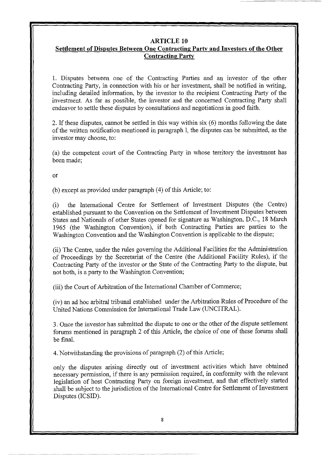## **ARTICLE 10**

# **Settlement of Disputes Between One Contracting Party and Investors of the Other Contracting Party**

1. Disputes between one of the Contracting Parties and an investor of the other Contracting Party, in connection with his or her investment, shall be notified in writing, including detailed information, by the investor to the recipient Contracting Party of the investment. As far as possible, the investor and the concerned Contracting Party shall endeavor to settle these disputes by consultations and negotiations in good faith.

2. If these disputes, cannot be settled in this way within six (6) months following the date of the written notification mentioned in paragraph **1,** the disputes can be submitted, as the investor may choose, to:

( a) the competent court of the Contracting Party in whose territory the investment has been made;

or

(b) except as provided under paragraph (4) of this Article; to:

(i) the International Centre for Settlement of Investment Disputes (the Centre) established pursuant to the Convention on the Settlement of Investment Disputes between States and Nationals of other States opened for signature as Washington, D.C., 18 March 1965 (the Washington Convention), if both Contracting Parties are parties to the Washington Convention and the Washington Convention is applicable to the dispute;

(ii) The Centre, under the rules governing the Additional Facilities for the Administration of Proceedings by the Secretariat of the Centre (the Additional Facility Rules), if the Contracting Party of the investor or the State of the Contracting Party to the dispute, but not both, is a party to the Washington Convention;

(iii) the Court of Arbitration of the International Chamber of Commerce;

(iv) an ad hoc arbitral tribunal established under the Arbitration Rules of Procedure of the United Nations Commission for International Trade Law (UNCITRAL).

3. Once the investor has submitted the dispute to one or the other of the dispute settlement forums mentioned in paragraph 2 of this Article, the choice of one of these forums shall be final.

4. Notwithstanding the provisions of paragraph (2) of this Article;

only the disputes arising directly out of investment activities which have obtained necessary permission, if there is any permission required, in conformity with the relevant legislation of host Contracting Party on foreign investment, and that effectively started shall be subject to the jurisdiction of the International Centre for Settlement of Investment Disputes (ICSID).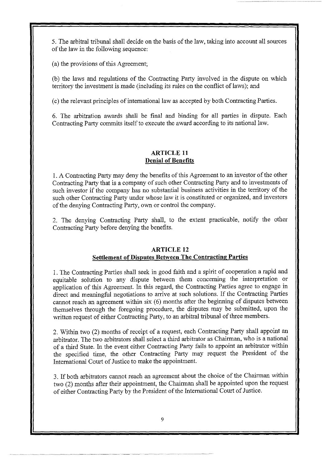5. The arbitral tribunal shall decide on the basis of the law, taking into account all sources of the law in the following sequence:

(a) the provisions of this Agreement;

(b) the laws and regulations of the Contracting Party involved in the dispute on which territory the investment is made (including its rules on the conflict of laws); and

( c) the relevant principles of international law as accepted by both Contracting Parties.

6. The arbitration awards shall be final and binding for all parties in dispute. Each Contracting Party commits itself to execute the award according to its national law.

### **ARTICLE 11 Denial of Benefits**

1. A Contracting Party may deny the benefits of this Agreement to an investor of the other Contracting Party that is a company of such other Contracting Party and to investments of such investor if the company has no substantial business activities in the territory of the such other Contracting Party under whose law it is constituted or organized, and investors of the denying Contracting Party, own or control the company.

2. The denying Contracting Party shall, to the extent practicable, notify the other Contracting Party before denying the benefits.

### **ARTICLE 12 Settlement of Disputes Between The Contracting Parties**

1. The Contracting Parties shall seek in good faith and a spirit of cooperation a rapid and equitable solution to any dispute between them concerning the interpretation or application of this Agreement. In this regard, the Contracting Parties agree to engage in direct and meaningful negotiations to arrive at such solutions. If the Contracting Parties cannot reach an agreement within  $s$ ix  $(6)$  months after the beginning of disputes between themselves through the foregoing procedure, the disputes may be submitted, upon the written request of either Contracting Party, to an arbitral tribunal of three members.

2. Within two (2) months of receipt of a request, each Contracting Party shall appoint an arbitrator. The two arbitrators shall select a third arbitrator as Chairman, who is a national of a third State. In the event either Contracting Party fails to appoint an arbitrator within the specified time, the other Contracting Party may request the President of the International Court of Justice to make the appointment.

3. If both arbitrators cannot reach an agreement about the choice of the Chairman within two (2) months after their appointment, the Chairman shall be appointed upon the request of either Contracting Party by the President of the International Court of Justice.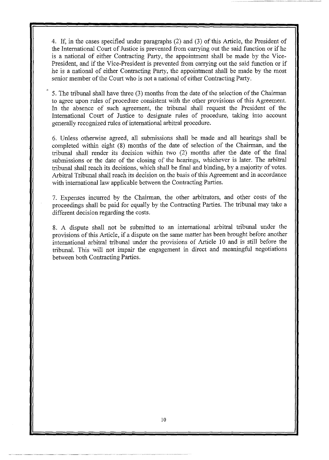4. If, in the cases specified under paragraphs (2) and (3) of this Article, the President of the International Court of Justice is prevented from carrying out the said function or if he is a national of either Contracting Party, the appointment shall be made by the Vice-President, and if the Vice-President is prevented from carrying out the said function or if he is a national of either Contracting Party, the appointment shall be made by the most senior member of the Court who is not a national of either Contracting Party.

5. The tribunal shall have three (3) months from the date of the selection of the Chairman to agree upon rules of procedure consistent with the other provisions of this Agreement. In the absence of such agreement, the tribunal shall request the President of the International Court of Justice to designate rules of procedure, taking into account generally recognized rules of international arbitral procedure.

6. Unless otherwise agreed, all submissions shall be made and all hearings shall be completed within eight (8) months of the date of selection of the Chairman, and the tribunal shall render its decision within two (2) months after the date of the final submissions or the date of the closing of the hearings, whichever is later. The arbitral tribunal shall reach its decisions, which shall be final and binding, by a majority of votes. Arbitral Tribunal shall reach its decision on the basis of this Agreement and in accordance with international law applicable between the Contracting Parties.

7. Expenses incurred by the Chairman, the other arbitrators, and other costs of the proceedings shall be paid for equally by the Contracting Parties. The tribunal may take a different decision regarding the costs.

8. A dispute shall not be submitted to an international arbitral tribunal under the provisions of this Article, if a dispute on the same matter has been brought before another international arbitral tribunal under the provisions of Article IO and is still before the tribunal. This will not impair the engagement in direct and meaningful negotiations between both Contracting Parties.